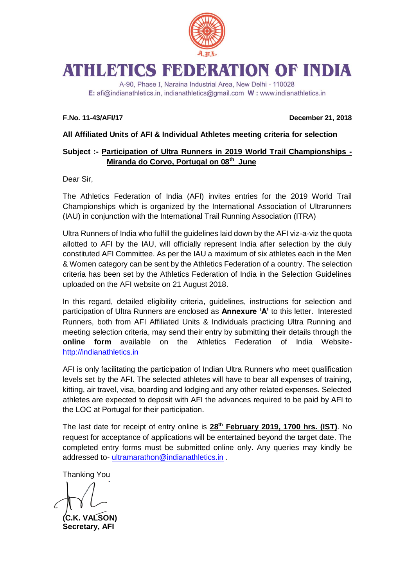

# **ATHLETICS FEDERATION OF INDIA**

A-90, Phase I, Naraina Industrial Area, New Delhi - 110028 E: afi@indianathletics.in, indianathletics@gmail.com W: www.indianathletics.in

**F.No. 11-43/AFI/17 December 21, 2018**

## **All Affiliated Units of AFI & Individual Athletes meeting criteria for selection**

## **Subject :- Participation of Ultra Runners in 2019 World Trail Championships - Miranda do Corvo, Portugal on 08th June**

Dear Sir,

The Athletics Federation of India (AFI) invites entries for the 2019 World Trail Championships which is organized by the International Association of Ultrarunners (IAU) in conjunction with the International Trail Running Association (ITRA)

Ultra Runners of India who fulfill the guidelines laid down by the AFI viz-a-viz the quota allotted to AFI by the IAU, will officially represent India after selection by the duly constituted AFI Committee. As per the IAU a maximum of six athletes each in the Men & Women category can be sent by the Athletics Federation of a country. The selection criteria has been set by the Athletics Federation of India in the Selection Guidelines uploaded on the AFI website on 21 August 2018.

In this regard, detailed eligibility criteria, guidelines, instructions for selection and participation of Ultra Runners are enclosed as **Annexure 'A'** to this letter. Interested Runners, both from AFI Affiliated Units & Individuals practicing Ultra Running and meeting selection criteria, may send their entry by submitting their details through the **online form** available on the Athletics Federation of India Website[http://indianathletics.in](http://indianathletics.in/)

AFI is only facilitating the participation of Indian Ultra Runners who meet qualification levels set by the AFI. The selected athletes will have to bear all expenses of training, kitting, air travel, visa, boarding and lodging and any other related expenses. Selected athletes are expected to deposit with AFI the advances required to be paid by AFI to the LOC at Portugal for their participation.

The last date for receipt of entry online is **28th February 2019, 1700 hrs. (IST)**. No request for acceptance of applications will be entertained beyond the target date. The completed entry forms must be submitted online only. Any queries may kindly be addressed to- [ultramarathon@indianathletics.in](mailto:ultramarathon@indianathletics.in) .

Thanking You

**(C.K. VALSON) Secretary, AFI**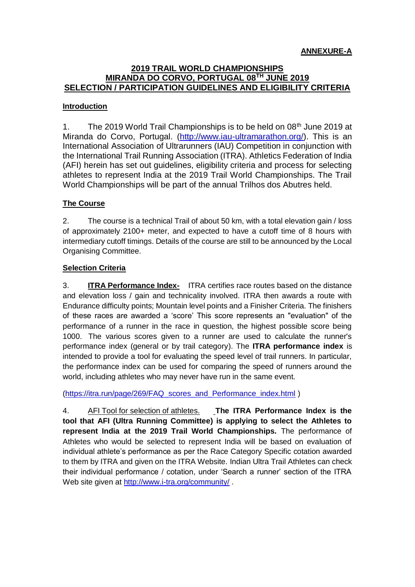#### **2019 TRAIL WORLD CHAMPIONSHIPS MIRANDA DO CORVO, PORTUGAL 08TH JUNE 2019 SELECTION / PARTICIPATION GUIDELINES AND ELIGIBILITY CRITERIA**

#### **Introduction**

1. The 2019 World Trail Championships is to be held on  $08<sup>th</sup>$  June 2019 at Miranda do Corvo, Portugal. [\(http://www.iau-ultramarathon.org/\)](http://www.iau-ultramarathon.org/). This is an International Association of Ultrarunners (IAU) Competition in conjunction with the International Trail Running Association (ITRA). Athletics Federation of India (AFI) herein has set out guidelines, eligibility criteria and process for selecting athletes to represent India at the 2019 Trail World Championships. The Trail World Championships will be part of the annual Trilhos dos Abutres held.

#### **The Course**

2. The course is a technical Trail of about 50 km, with a total elevation gain / loss of approximately 2100+ meter, and expected to have a cutoff time of 8 hours with intermediary cutoff timings. Details of the course are still to be announced by the Local Organising Committee.

#### **Selection Criteria**

3. **ITRA Performance Index-** ITRA certifies race routes based on the distance and elevation loss / gain and technicality involved. ITRA then awards a route with Endurance difficulty points; Mountain level points and a Finisher Criteria. The finishers of these races are awarded a 'score' This score represents an "evaluation" of the performance of a runner in the race in question, the highest possible score being 1000. The various scores given to a runner are used to calculate the runner's performance index (general or by trail category). The **ITRA performance index** is intended to provide a tool for evaluating the speed level of trail runners. In particular, the performance index can be used for comparing the speed of runners around the world, including athletes who may never have run in the same event.

(https://itra.run/page/269/FAQ scores and Performance index.html)

4. AFI Tool for selection of athletes. **The ITRA Performance Index is the tool that AFI (Ultra Running Committee) is applying to select the Athletes to represent India at the 2019 Trail World Championships.** The performance of Athletes who would be selected to represent India will be based on evaluation of individual athlete's performance as per the Race Category Specific cotation awarded to them by ITRA and given on the ITRA Website. Indian Ultra Trail Athletes can check their individual performance / cotation, under 'Search a runner' section of the ITRA Web site given at<http://www.i-tra.org/community/> .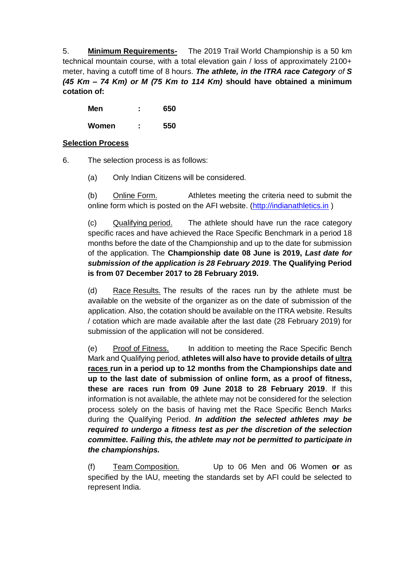5. **Minimum Requirements-** The 2019 Trail World Championship is a 50 km technical mountain course, with a total elevation gain / loss of approximately 2100+ meter, having a cutoff time of 8 hours. *The athlete, in the ITRA race Category of S (45 Km – 74 Km) or M (75 Km to 114 Km)* **should have obtained a minimum cotation of:**

**Men : 650**

**Women : 550**

## **Selection Process**

- 6. The selection process is as follows:
	- (a) Only Indian Citizens will be considered.

(b) Online Form. Athletes meeting the criteria need to submit the online form which is posted on the AFI website. [\(http://indianathletics.in](http://indianathletics.in/) )

(c) Qualifying period. The athlete should have run the race category specific races and have achieved the Race Specific Benchmark in a period 18 months before the date of the Championship and up to the date for submission of the application. The **Championship date 08 June is 2019,** *Last date for submission of the application is 28 February 2019*. **The Qualifying Period is from 07 December 2017 to 28 February 2019.**

(d) Race Results. The results of the races run by the athlete must be available on the website of the organizer as on the date of submission of the application. Also, the cotation should be available on the ITRA website. Results / cotation which are made available after the last date (28 February 2019) for submission of the application will not be considered.

(e) Proof of Fitness. In addition to meeting the Race Specific Bench Mark and Qualifying period, **athletes will also have to provide details of ultra races run in a period up to 12 months from the Championships date and up to the last date of submission of online form, as a proof of fitness, these are races run from 09 June 2018 to 28 February 2019**. If this information is not available, the athlete may not be considered for the selection process solely on the basis of having met the Race Specific Bench Marks during the Qualifying Period. *In addition the selected athletes may be required to undergo a fitness test as per the discretion of the selection committee. Failing this, the athlete may not be permitted to participate in the championships.*

(f) Team Composition. Up to 06 Men and 06 Women **or** as specified by the IAU, meeting the standards set by AFI could be selected to represent India.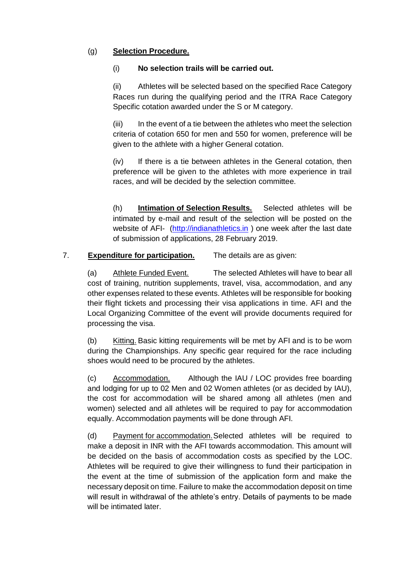# (g) **Selection Procedure.**

#### (i) **No selection trails will be carried out.**

(ii) Athletes will be selected based on the specified Race Category Races run during the qualifying period and the ITRA Race Category Specific cotation awarded under the S or M category.

(iii) In the event of a tie between the athletes who meet the selection criteria of cotation 650 for men and 550 for women, preference will be given to the athlete with a higher General cotation.

(iv) If there is a tie between athletes in the General cotation, then preference will be given to the athletes with more experience in trail races, and will be decided by the selection committee.

(h) **Intimation of Selection Results.** Selected athletes will be intimated by e-mail and result of the selection will be posted on the website of AFI- [\(http://indianathletics.in](http://indianathletics.in/)) one week after the last date of submission of applications, 28 February 2019.

# 7. **Expenditure for participation.** The details are as given:

(a) Athlete Funded Event. The selected Athletes will have to bear all cost of training, nutrition supplements, travel, visa, accommodation, and any other expenses related to these events. Athletes will be responsible for booking their flight tickets and processing their visa applications in time. AFI and the Local Organizing Committee of the event will provide documents required for processing the visa.

(b) Kitting. Basic kitting requirements will be met by AFI and is to be worn during the Championships. Any specific gear required for the race including shoes would need to be procured by the athletes.

(c) Accommodation. Although the IAU / LOC provides free boarding and lodging for up to 02 Men and 02 Women athletes (or as decided by IAU), the cost for accommodation will be shared among all athletes (men and women) selected and all athletes will be required to pay for accommodation equally. Accommodation payments will be done through AFI.

(d) Payment for accommodation.Selected athletes will be required to make a deposit in INR with the AFI towards accommodation. This amount will be decided on the basis of accommodation costs as specified by the LOC. Athletes will be required to give their willingness to fund their participation in the event at the time of submission of the application form and make the necessary deposit on time. Failure to make the accommodation deposit on time will result in withdrawal of the athlete's entry. Details of payments to be made will be intimated later.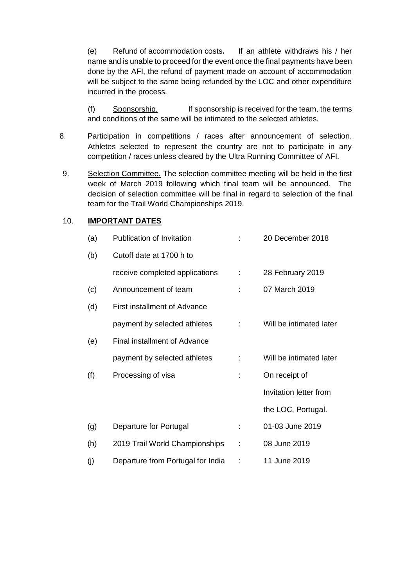(e) Refund of accommodation costs**.** If an athlete withdraws his / her name and is unable to proceed for the event once the final payments have been done by the AFI, the refund of payment made on account of accommodation will be subject to the same being refunded by the LOC and other expenditure incurred in the process.

(f) Sponsorship. If sponsorship is received for the team, the terms and conditions of the same will be intimated to the selected athletes.

- 8. Participation in competitions / races after announcement of selection. Athletes selected to represent the country are not to participate in any competition / races unless cleared by the Ultra Running Committee of AFI.
- 9. Selection Committee. The selection committee meeting will be held in the first week of March 2019 following which final team will be announced. The decision of selection committee will be final in regard to selection of the final team for the Trail World Championships 2019.

#### 10. **IMPORTANT DATES**

| (a) | Publication of Invitation           |   | 20 December 2018        |
|-----|-------------------------------------|---|-------------------------|
| (b) | Cutoff date at 1700 h to            |   |                         |
|     | receive completed applications      |   | 28 February 2019        |
| (c) | Announcement of team                |   | 07 March 2019           |
| (d) | <b>First installment of Advance</b> |   |                         |
|     | payment by selected athletes        | ÷ | Will be intimated later |
| (e) | Final installment of Advance        |   |                         |
|     | payment by selected athletes        | ÷ | Will be intimated later |
| (f) | Processing of visa                  |   | On receipt of           |
|     |                                     |   | Invitation letter from  |
|     |                                     |   | the LOC, Portugal.      |
| (g) | Departure for Portugal              | ÷ | 01-03 June 2019         |
| (h) | 2019 Trail World Championships      |   | 08 June 2019            |
| (i) | Departure from Portugal for India   |   | 11 June 2019            |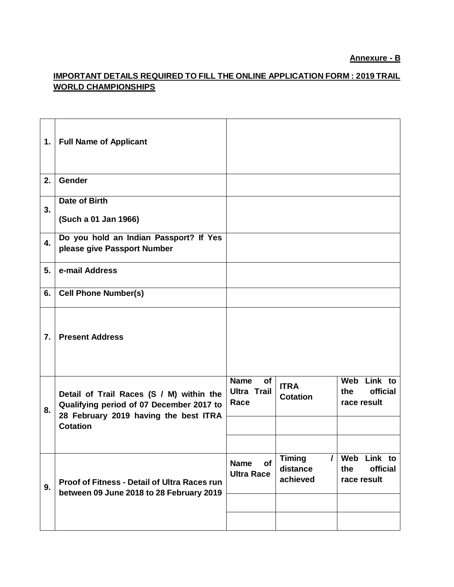# **Annexure - B**

# **IMPORTANT DETAILS REQUIRED TO FILL THE ONLINE APPLICATION FORM : 2019 TRAIL WORLD CHAMPIONSHIPS**

| 1. | <b>Full Name of Applicant</b>                                                                                                 |                                                        |                                                   |                                                  |
|----|-------------------------------------------------------------------------------------------------------------------------------|--------------------------------------------------------|---------------------------------------------------|--------------------------------------------------|
| 2. | Gender                                                                                                                        |                                                        |                                                   |                                                  |
| 3. | Date of Birth<br>(Such a 01 Jan 1966)                                                                                         |                                                        |                                                   |                                                  |
| 4. | Do you hold an Indian Passport? If Yes<br>please give Passport Number                                                         |                                                        |                                                   |                                                  |
| 5. | e-mail Address                                                                                                                |                                                        |                                                   |                                                  |
| 6. | <b>Cell Phone Number(s)</b>                                                                                                   |                                                        |                                                   |                                                  |
| 7. | <b>Present Address</b>                                                                                                        |                                                        |                                                   |                                                  |
| 8. | Detail of Trail Races (S / M) within the<br>Qualifying period of 07 December 2017 to<br>28 February 2019 having the best ITRA | <b>Name</b><br><b>of</b><br><b>Ultra Trail</b><br>Race | <b>ITRA</b><br><b>Cotation</b>                    | Web Link to<br>official<br>the<br>race result    |
|    | <b>Cotation</b>                                                                                                               |                                                        |                                                   |                                                  |
| 9. | Proof of Fitness - Detail of Ultra Races run<br>between 09 June 2018 to 28 February 2019                                      | <b>Name</b><br><b>of</b><br><b>Ultra Race</b>          | <b>Timing</b><br>$\prime$<br>distance<br>achieved | Link to<br>Web<br>official<br>the<br>race result |
|    |                                                                                                                               |                                                        |                                                   |                                                  |
|    |                                                                                                                               |                                                        |                                                   |                                                  |